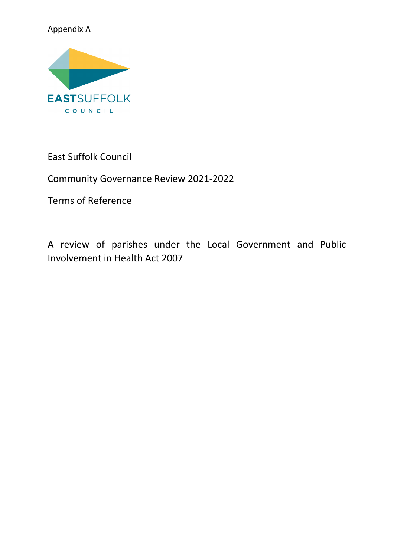# Appendix A



East Suffolk Council

Community Governance Review 2021-2022

Terms of Reference

A review of parishes under the Local Government and Public Involvement in Health Act 2007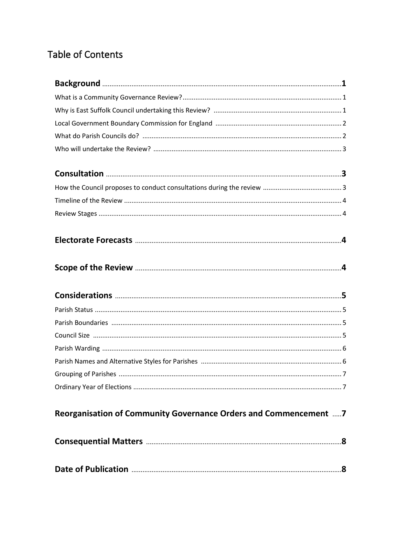# **Table of Contents**

| Reorganisation of Community Governance Orders and Commencement 7 |  |
|------------------------------------------------------------------|--|
|                                                                  |  |
|                                                                  |  |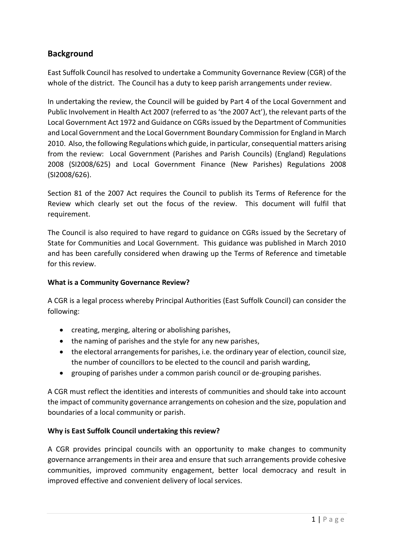# **Background**

East Suffolk Council has resolved to undertake a Community Governance Review (CGR) of the whole of the district. The Council has a duty to keep parish arrangements under review.

In undertaking the review, the Council will be guided by Part 4 of the Local Government and Public Involvement in Health Act 2007 (referred to as 'the 2007 Act'), the relevant parts of the Local Government Act 1972 and Guidance on CGRs issued by the Department of Communities and Local Government and the Local Government Boundary Commission for England in March 2010. Also, the following Regulations which guide, in particular, consequential matters arising from the review: Local Government (Parishes and Parish Councils) (England) Regulations 2008 (SI2008/625) and Local Government Finance (New Parishes) Regulations 2008 (SI2008/626).

Section 81 of the 2007 Act requires the Council to publish its Terms of Reference for the Review which clearly set out the focus of the review. This document will fulfil that requirement.

The Council is also required to have regard to guidance on CGRs issued by the Secretary of State for Communities and Local Government. This guidance was published in March 2010 and has been carefully considered when drawing up the Terms of Reference and timetable for this review.

### **What is a Community Governance Review?**

A CGR is a legal process whereby Principal Authorities (East Suffolk Council) can consider the following:

- creating, merging, altering or abolishing parishes,
- the naming of parishes and the style for any new parishes,
- the electoral arrangements for parishes, i.e. the ordinary year of election, council size, the number of councillors to be elected to the council and parish warding,
- grouping of parishes under a common parish council or de-grouping parishes.

A CGR must reflect the identities and interests of communities and should take into account the impact of community governance arrangements on cohesion and the size, population and boundaries of a local community or parish.

### **Why is East Suffolk Council undertaking this review?**

A CGR provides principal councils with an opportunity to make changes to community governance arrangements in their area and ensure that such arrangements provide cohesive communities, improved community engagement, better local democracy and result in improved effective and convenient delivery of local services.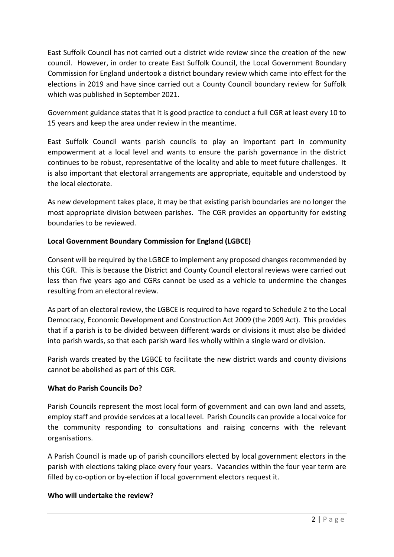East Suffolk Council has not carried out a district wide review since the creation of the new council. However, in order to create East Suffolk Council, the Local Government Boundary Commission for England undertook a district boundary review which came into effect for the elections in 2019 and have since carried out a County Council boundary review for Suffolk which was published in September 2021.

Government guidance states that it is good practice to conduct a full CGR at least every 10 to 15 years and keep the area under review in the meantime.

East Suffolk Council wants parish councils to play an important part in community empowerment at a local level and wants to ensure the parish governance in the district continues to be robust, representative of the locality and able to meet future challenges. It is also important that electoral arrangements are appropriate, equitable and understood by the local electorate.

As new development takes place, it may be that existing parish boundaries are no longer the most appropriate division between parishes. The CGR provides an opportunity for existing boundaries to be reviewed.

### **Local Government Boundary Commission for England (LGBCE)**

Consent will be required by the LGBCE to implement any proposed changes recommended by this CGR. This is because the District and County Council electoral reviews were carried out less than five years ago and CGRs cannot be used as a vehicle to undermine the changes resulting from an electoral review.

As part of an electoral review, the LGBCE is required to have regard to Schedule 2 to the Local Democracy, Economic Development and Construction Act 2009 (the 2009 Act). This provides that if a parish is to be divided between different wards or divisions it must also be divided into parish wards, so that each parish ward lies wholly within a single ward or division.

Parish wards created by the LGBCE to facilitate the new district wards and county divisions cannot be abolished as part of this CGR.

### **What do Parish Councils Do?**

Parish Councils represent the most local form of government and can own land and assets, employ staff and provide services at a local level. Parish Councils can provide a local voice for the community responding to consultations and raising concerns with the relevant organisations.

A Parish Council is made up of parish councillors elected by local government electors in the parish with elections taking place every four years. Vacancies within the four year term are filled by co-option or by-election if local government electors request it.

#### **Who will undertake the review?**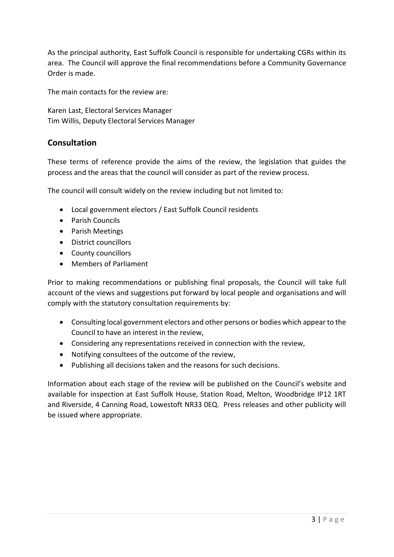As the principal authority, East Suffolk Council is responsible for undertaking CGRs within its area. The Council will approve the final recommendations before a Community Governance Order is made.

The main contacts for the review are:

Karen Last, Electoral Services Manager Tim Willis, Deputy Electoral Services Manager

# **Consultation**

These terms of reference provide the aims of the review, the legislation that guides the process and the areas that the council will consider as part of the review process.

The council will consult widely on the review including but not limited to:

- Local government electors / East Suffolk Council residents
- Parish Councils
- Parish Meetings
- District councillors
- County councillors
- Members of Parliament

Prior to making recommendations or publishing final proposals, the Council will take full account of the views and suggestions put forward by local people and organisations and will comply with the statutory consultation requirements by:

- Consulting local government electors and other persons or bodies which appear to the Council to have an interest in the review,
- Considering any representations received in connection with the review,
- Notifying consultees of the outcome of the review,
- Publishing all decisions taken and the reasons for such decisions.

Information about each stage of the review will be published on the Council's website and available for inspection at East Suffolk House, Station Road, Melton, Woodbridge IP12 1RT and Riverside, 4 Canning Road, Lowestoft NR33 0EQ. Press releases and other publicity will be issued where appropriate.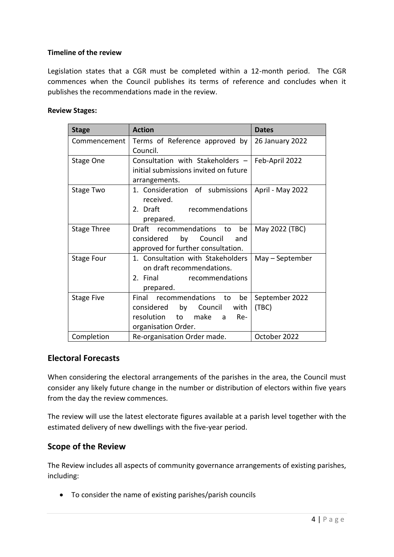#### **Timeline of the review**

Legislation states that a CGR must be completed within a 12-month period. The CGR commences when the Council publishes its terms of reference and concludes when it publishes the recommendations made in the review.

#### **Review Stages:**

| <b>Stage</b>       | <b>Action</b>                         | <b>Dates</b>     |
|--------------------|---------------------------------------|------------------|
| Commencement       | Terms of Reference approved by        | 26 January 2022  |
|                    | Council.                              |                  |
| <b>Stage One</b>   | Consultation with Stakeholders -      | Feb-April 2022   |
|                    | initial submissions invited on future |                  |
|                    | arrangements.                         |                  |
| Stage Two          | 1. Consideration of submissions       | April - May 2022 |
|                    | received.                             |                  |
|                    | 2. Draft<br>recommendations           |                  |
|                    | prepared.                             |                  |
| <b>Stage Three</b> | Draft recommendations to<br>be        | May 2022 (TBC)   |
|                    | by<br>considered<br>Council<br>and    |                  |
|                    | approved for further consultation.    |                  |
| <b>Stage Four</b>  | 1. Consultation with Stakeholders     | May - September  |
|                    | on draft recommendations.             |                  |
|                    | 2. Final<br>recommendations           |                  |
|                    | prepared.                             |                  |
| <b>Stage Five</b>  | Final recommendations<br>to<br>be     | September 2022   |
|                    | considered by Council<br>with         | (TBC)            |
|                    | resolution to make<br>Re-<br>a a      |                  |
|                    | organisation Order.                   |                  |
| Completion         | Re-organisation Order made.           | October 2022     |

### **Electoral Forecasts**

When considering the electoral arrangements of the parishes in the area, the Council must consider any likely future change in the number or distribution of electors within five years from the day the review commences.

The review will use the latest electorate figures available at a parish level together with the estimated delivery of new dwellings with the five-year period.

### **Scope of the Review**

The Review includes all aspects of community governance arrangements of existing parishes, including:

• To consider the name of existing parishes/parish councils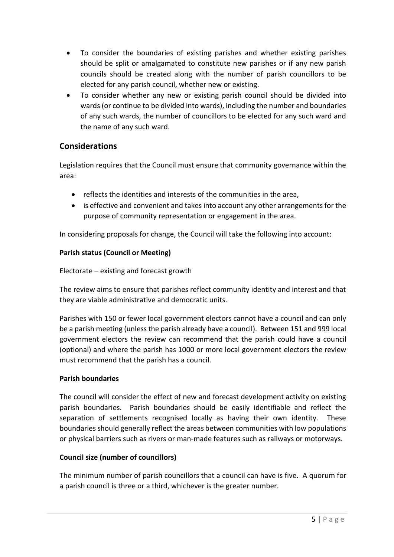- To consider the boundaries of existing parishes and whether existing parishes should be split or amalgamated to constitute new parishes or if any new parish councils should be created along with the number of parish councillors to be elected for any parish council, whether new or existing.
- To consider whether any new or existing parish council should be divided into wards (or continue to be divided into wards), including the number and boundaries of any such wards, the number of councillors to be elected for any such ward and the name of any such ward.

# **Considerations**

Legislation requires that the Council must ensure that community governance within the area:

- reflects the identities and interests of the communities in the area,
- is effective and convenient and takes into account any other arrangements for the purpose of community representation or engagement in the area.

In considering proposals for change, the Council will take the following into account:

# **Parish status (Council or Meeting)**

Electorate – existing and forecast growth

The review aims to ensure that parishes reflect community identity and interest and that they are viable administrative and democratic units.

Parishes with 150 or fewer local government electors cannot have a council and can only be a parish meeting (unless the parish already have a council). Between 151 and 999 local government electors the review can recommend that the parish could have a council (optional) and where the parish has 1000 or more local government electors the review must recommend that the parish has a council.

### **Parish boundaries**

The council will consider the effect of new and forecast development activity on existing parish boundaries. Parish boundaries should be easily identifiable and reflect the separation of settlements recognised locally as having their own identity. These boundaries should generally reflect the areas between communities with low populations or physical barriers such as rivers or man-made features such as railways or motorways.

### **Council size (number of councillors)**

The minimum number of parish councillors that a council can have is five. A quorum for a parish council is three or a third, whichever is the greater number.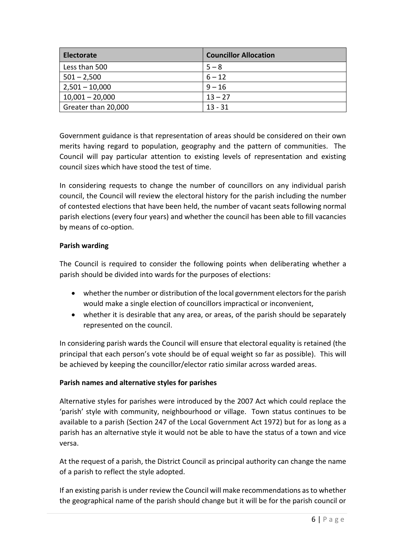| <b>Electorate</b>   | <b>Councillor Allocation</b> |
|---------------------|------------------------------|
| Less than 500       | $5 - 8$                      |
| $501 - 2,500$       | $6 - 12$                     |
| $2,501 - 10,000$    | $9 - 16$                     |
| $10,001 - 20,000$   | $13 - 27$                    |
| Greater than 20,000 | $13 - 31$                    |

Government guidance is that representation of areas should be considered on their own merits having regard to population, geography and the pattern of communities. The Council will pay particular attention to existing levels of representation and existing council sizes which have stood the test of time.

In considering requests to change the number of councillors on any individual parish council, the Council will review the electoral history for the parish including the number of contested elections that have been held, the number of vacant seats following normal parish elections (every four years) and whether the council has been able to fill vacancies by means of co-option.

### **Parish warding**

The Council is required to consider the following points when deliberating whether a parish should be divided into wards for the purposes of elections:

- whether the number or distribution of the local government electors for the parish would make a single election of councillors impractical or inconvenient,
- whether it is desirable that any area, or areas, of the parish should be separately represented on the council.

In considering parish wards the Council will ensure that electoral equality is retained (the principal that each person's vote should be of equal weight so far as possible). This will be achieved by keeping the councillor/elector ratio similar across warded areas.

#### **Parish names and alternative styles for parishes**

Alternative styles for parishes were introduced by the 2007 Act which could replace the 'parish' style with community, neighbourhood or village. Town status continues to be available to a parish (Section 247 of the Local Government Act 1972) but for as long as a parish has an alternative style it would not be able to have the status of a town and vice versa.

At the request of a parish, the District Council as principal authority can change the name of a parish to reflect the style adopted.

If an existing parish is under review the Council will make recommendations as to whether the geographical name of the parish should change but it will be for the parish council or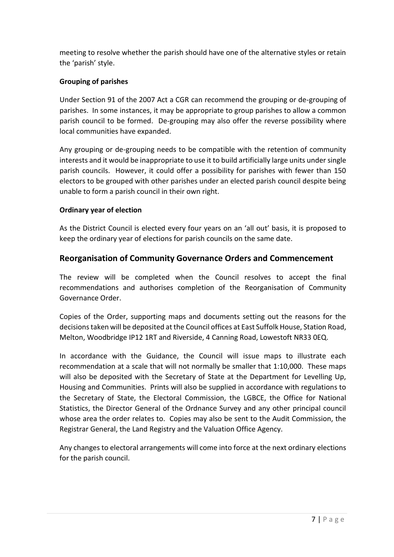meeting to resolve whether the parish should have one of the alternative styles or retain the 'parish' style.

### **Grouping of parishes**

Under Section 91 of the 2007 Act a CGR can recommend the grouping or de-grouping of parishes. In some instances, it may be appropriate to group parishes to allow a common parish council to be formed. De-grouping may also offer the reverse possibility where local communities have expanded.

Any grouping or de-grouping needs to be compatible with the retention of community interests and it would be inappropriate to use it to build artificially large units under single parish councils. However, it could offer a possibility for parishes with fewer than 150 electors to be grouped with other parishes under an elected parish council despite being unable to form a parish council in their own right.

### **Ordinary year of election**

As the District Council is elected every four years on an 'all out' basis, it is proposed to keep the ordinary year of elections for parish councils on the same date.

# **Reorganisation of Community Governance Orders and Commencement**

The review will be completed when the Council resolves to accept the final recommendations and authorises completion of the Reorganisation of Community Governance Order.

Copies of the Order, supporting maps and documents setting out the reasons for the decisions taken will be deposited at the Council offices at East Suffolk House, Station Road, Melton, Woodbridge IP12 1RT and Riverside, 4 Canning Road, Lowestoft NR33 0EQ.

In accordance with the Guidance, the Council will issue maps to illustrate each recommendation at a scale that will not normally be smaller that 1:10,000. These maps will also be deposited with the Secretary of State at the Department for Levelling Up, Housing and Communities. Prints will also be supplied in accordance with regulations to the Secretary of State, the Electoral Commission, the LGBCE, the Office for National Statistics, the Director General of the Ordnance Survey and any other principal council whose area the order relates to. Copies may also be sent to the Audit Commission, the Registrar General, the Land Registry and the Valuation Office Agency.

Any changes to electoral arrangements will come into force at the next ordinary elections for the parish council.